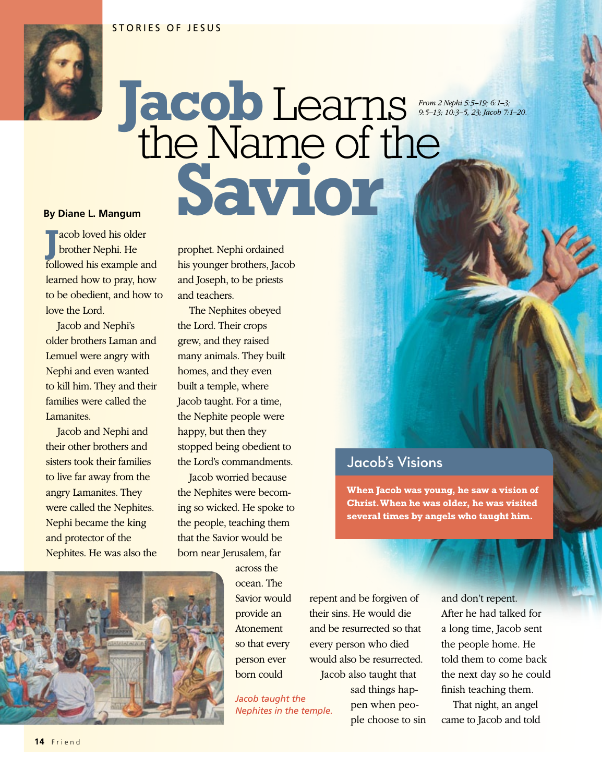

## **Jacob**Learns the Name of the By Diane L. Mangum<br> **Saviol** *From 2 Nephi 5:5–19; 6:1–3; 9:5–13; 10:3–5, 23; Jacob 7:1–20.*

**J** acob loved his older brother Nephi. He followed his example and learned how to pray, how to be obedient, and how to love the Lord.

Jacob and Nephi's older brothers Laman and Lemuel were angry with Nephi and even wanted to kill him. They and their families were called the Lamanites.

Jacob and Nephi and their other brothers and sisters took their families to live far away from the angry Lamanites. They were called the Nephites. Nephi became the king and protector of the Nephites. He was also the prophet. Nephi ordained his younger brothers, Jacob and Joseph, to be priests and teachers.

The Nephites obeyed the Lord. Their crops grew, and they raised many animals. They built homes, and they even built a temple, where Jacob taught. For a time, the Nephite people were happy, but then they stopped being obedient to the Lord's commandments.

Jacob worried because the Nephites were becoming so wicked. He spoke to the people, teaching them that the Savior would be born near Jerusalem, far

across the ocean. The Savior would provide an Atonement so that every person ever born could

*Jacob taught the Nephites in the temple.*

repent and be forgiven of their sins. He would die and be resurrected so that every person who died would also be resurrected. Jacob also taught that

> sad things happen when people choose to sin

Jacob's Visions

**When Jacob was young, he saw a vision of Christ. When he was older, he was visited several times by angels who taught him.** 

> and don't repent. After he had talked for a long time, Jacob sent the people home. He told them to come back the next day so he could finish teaching them.

That night, an angel came to Jacob and told